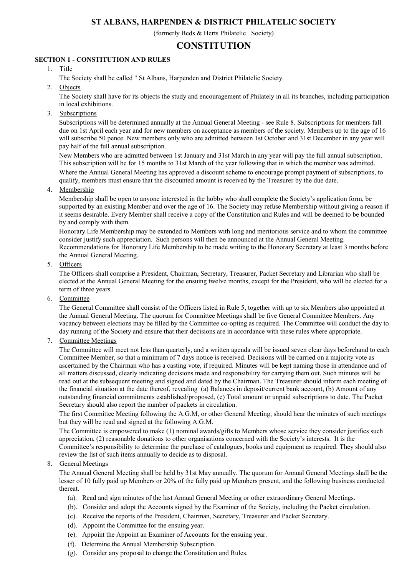# ST ALBANS, HARPENDEN & DISTRICT PHILATELIC SOCIETY

(formerly Beds & Herts Philatelic Society)

## **CONSTITUTION**

#### SECTION 1 - CONSTITUTION AND RULES

- 1. Title
	- The Society shall be called " St Albans, Harpenden and District Philatelic Society.
- 2. Objects

The Society shall have for its objects the study and encouragement of Philately in all its branches, including participation in local exhibitions.

3. Subscriptions

Subscriptions will be determined annually at the Annual General Meeting - see Rule 8. Subscriptions for members fall due on 1st April each year and for new members on acceptance as members of the society. Members up to the age of 16 will subscribe 50 pence. New members only who are admitted between 1st October and 31st December in any year will pay half of the full annual subscription.

New Members who are admitted between 1st January and 31st March in any year will pay the full annual subscription. This subscription will be for 15 months to 31st March of the year following that in which the member was admitted. Where the Annual General Meeting has approved a discount scheme to encourage prompt payment of subscriptions, to

qualify, members must ensure that the discounted amount is received by the Treasurer by the due date.

4. Membership

Membership shall be open to anyone interested in the hobby who shall complete the Society's application form, be supported by an existing Member and over the age of 16. The Society may refuse Membership without giving a reason if it seems desirable. Every Member shall receive a copy of the Constitution and Rules and will be deemed to be bounded by and comply with them.

Honorary Life Membership may be extended to Members with long and meritorious service and to whom the committee consider justify such appreciation. Such persons will then be announced at the Annual General Meeting. Recommendations for Honorary Life Membership to be made writing to the Honorary Secretary at least 3 months before the Annual General Meeting.

5. Officers

The Officers shall comprise a President, Chairman, Secretary, Treasurer, Packet Secretary and Librarian who shall be elected at the Annual General Meeting for the ensuing twelve months, except for the President, who will be elected for a term of three years.

6. Committee

The General Committee shall consist of the Officers listed in Rule 5, together with up to six Members also appointed at the Annual General Meeting. The quorum for Committee Meetings shall be five General Committee Members. Any vacancy between elections may be filled by the Committee co-opting as required. The Committee will conduct the day to day running of the Society and ensure that their decisions are in accordance with these rules where appropriate.

7. Committee Meetings

The Committee will meet not less than quarterly, and a written agenda will be issued seven clear days beforehand to each Committee Member, so that a minimum of 7 days notice is received. Decisions will be carried on a majority vote as ascertained by the Chairman who has a casting vote, if required. Minutes will be kept naming those in attendance and of all matters discussed, clearly indicating decisions made and responsibility for carrying them out. Such minutes will be read out at the subsequent meeting and signed and dated by the Chairman. The Treasurer should inform each meeting of the financial situation at the date thereof, revealing (a) Balances in deposit/current bank account, (b) Amount of any outstanding financial commitments established/proposed, (c) Total amount or unpaid subscriptions to date. The Packet Secretary should also report the number of packets in circulation.

The first Committee Meeting following the A.G.M, or other General Meeting, should hear the minutes of such meetings but they will be read and signed at the following A.G.M.

The Committee is empowered to make (1) nominal awards/gifts to Members whose service they consider justifies such appreciation, (2) reasonable donations to other organisations concerned with the Society's interests. It is the Committee's responsibility to determine the purchase of catalogues, books and equipment as required. They should also review the list of such items annually to decide as to disposal.

8. General Meetings

The Annual General Meeting shall be held by 31st May annually. The quorum for Annual General Meetings shall be the lesser of 10 fully paid up Members or 20% of the fully paid up Members present, and the following business conducted thereat.

- (a). Read and sign minutes of the last Annual General Meeting or other extraordinary General Meetings.
- (b). Consider and adopt the Accounts signed by the Examiner of the Society, including the Packet circulation.
- (c). Receive the reports of the President, Chairman, Secretary, Treasurer and Packet Secretary.
- (d). Appoint the Committee for the ensuing year.
- (e). Appoint the Appoint an Examiner of Accounts for the ensuing year.
- (f). Determine the Annual Membership Subscription.
- (g). Consider any proposal to change the Constitution and Rules.